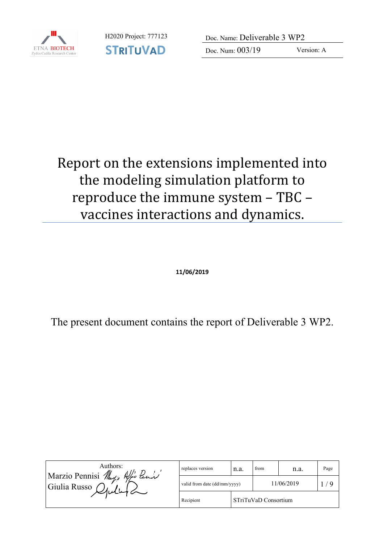

H2020 Project: 777123 Doc. Name: Deliverable 3 WP2

Doc. Num: 003/19 Version: A

### Report on the extensions implemented into the modeling simulation platform to reproduce the immune system - TBC vaccines interactions and dynamics.

**11/06/2019**

The present document contains the report of Deliverable 3 WP2.

| Authors:<br>Marzio Pennisi May, Afra Pann<br>Giulia Russo<br>$\mathcal{L}$ plut $\mathcal{L}$ | replaces version             | n.a.                 | from       | n.a. | Page |
|-----------------------------------------------------------------------------------------------|------------------------------|----------------------|------------|------|------|
|                                                                                               | valid from date (dd/mm/yyyy) |                      | 11/06/2019 |      |      |
|                                                                                               | Recipient                    | STriTuVaD Consortium |            |      |      |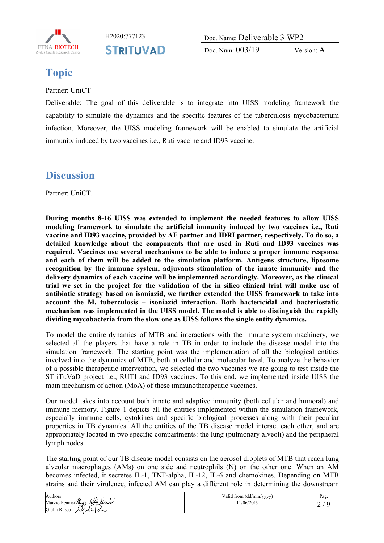

H2020:777123 Doc. Name: Deliverable 3 WP2 Doc. Num: 003/19 Version: A

### **Topic**

Partner: UniCT

Deliverable: The goal of this deliverable is to integrate into UISS modeling framework the capability to simulate the dynamics and the specific features of the tuberculosis mycobacterium infection. Moreover, the UISS modeling framework will be enabled to simulate the artificial immunity induced by two vaccines i.e., Ruti vaccine and ID93 vaccine.

#### **Discussion**

Partner: UniCT.

**During months 8-16 UISS was extended to implement the needed features to allow UISS modeling framework to simulate the artificial immunity induced by two vaccines i.e., Ruti vaccine and ID93 vaccine, provided by AF partner and IDRI partner, respectively. To do so, a detailed knowledge about the components that are used in Ruti and ID93 vaccines was required. Vaccines use several mechanisms to be able to induce a proper immune response and each of them will be added to the simulation platform. Antigens structure, liposome recognition by the immune system, adjuvants stimulation of the innate immunity and the delivery dynamics of each vaccine will be implemented accordingly. Moreover, as the clinical trial we set in the project for the validation of the in silico clinical trial will make use of antibiotic strategy based on isoniazid, we further extended the UISS framework to take into account the M. tuberculosis – isoniazid interaction. Both bactericidal and bacteriostatic mechanism was implemented in the UISS model. The model is able to distinguish the rapidly dividing mycobacteria from the slow one as UISS follows the single entity dynamics.**

To model the entire dynamics of MTB and interactions with the immune system machinery, we selected all the players that have a role in TB in order to include the disease model into the simulation framework. The starting point was the implementation of all the biological entities involved into the dynamics of MTB, both at cellular and molecular level. To analyze the behavior of a possible therapeutic intervention, we selected the two vaccines we are going to test inside the STriTuVaD project i.e., RUTI and ID93 vaccines. To this end, we implemented inside UISS the main mechanism of action (MoA) of these immunotherapeutic vaccines.

Our model takes into account both innate and adaptive immunity (both cellular and humoral) and immune memory. Figure 1 depicts all the entities implemented within the simulation framework, especially immune cells, cytokines and specific biological processes along with their peculiar properties in TB dynamics. All the entities of the TB disease model interact each other, and are appropriately located in two specific compartments: the lung (pulmonary alveoli) and the peripheral lymph nodes.

The starting point of our TB disease model consists on the aerosol droplets of MTB that reach lung alveolar macrophages (AMs) on one side and neutrophils (N) on the other one. When an AM becomes infected, it secretes IL-1, TNF-alpha, IL-12, IL-6 and chemokines. Depending on MTB strains and their virulence, infected AM can play a different role in determining the downstream

| Authors:                             | Valid from (dd/mm/yyyy) | Pag. |
|--------------------------------------|-------------------------|------|
| Marzio Pennisi Marzio<br>Afio Panis  | 1/06/2019               | -    |
| Giulia Russo<br>$\omega$ ulut $\sim$ |                         |      |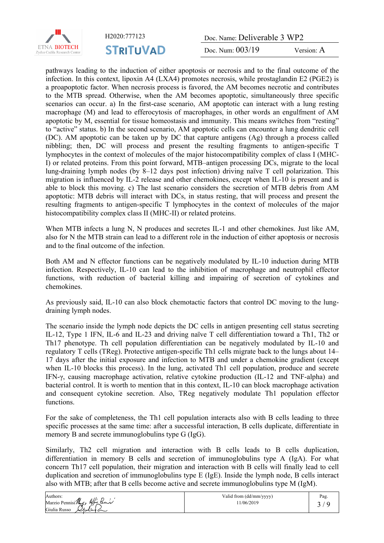

H2020:777123 Doc. Name: Deliverable 3 WP2

Doc. Num: 003/19 Version: A

pathways leading to the induction of either apoptosis or necrosis and to the final outcome of the infection. In this context, lipoxin A4 (LXA4) promotes necrosis, while prostaglandin E2 (PGE2) is a proapoptotic factor. When necrosis process is favored, the AM becomes necrotic and contributes to the MTB spread. Otherwise, when the AM becomes apoptotic, simultaneously three specific scenarios can occur. a) In the first-case scenario, AM apoptotic can interact with a lung resting macrophage (M) and lead to efferocytosis of macrophages, in other words an engulfment of AM apoptotic by M, essential for tissue homeostasis and immunity. This means switches from "resting" to "active" status. b) In the second scenario, AM apoptotic cells can encounter a lung dendritic cell (DC). AM apoptotic can be taken up by DC that capture antigens (Ag) through a process called nibbling; then, DC will process and present the resulting fragments to antigen-specific T lymphocytes in the context of molecules of the major histocompatibility complex of class I (MHC-I) or related proteins. From this point forward, MTB–antigen processing DCs, migrate to the local lung-draining lymph nodes (by 8–12 days post infection) driving naïve T cell polarization. This migration is influenced by IL-2 release and other chemokines, except when IL-10 is present and is able to block this moving. c) The last scenario considers the secretion of MTB debris from AM apoptotic: MTB debris will interact with DCs, in status resting, that will process and present the resulting fragments to antigen-specific T lymphocytes in the context of molecules of the major histocompatibility complex class II (MHC-II) or related proteins.

When MTB infects a lung N, N produces and secretes IL-1 and other chemokines. Just like AM, also for N the MTB strain can lead to a different role in the induction of either apoptosis or necrosis and to the final outcome of the infection.

Both AM and N effector functions can be negatively modulated by IL-10 induction during MTB infection. Respectively, IL-10 can lead to the inhibition of macrophage and neutrophil effector functions, with reduction of bacterial killing and impairing of secretion of cytokines and chemokines.

As previously said, IL-10 can also block chemotactic factors that control DC moving to the lungdraining lymph nodes.

The scenario inside the lymph node depicts the DC cells in antigen presenting cell status secreting IL-12, Type 1 IFN, IL-6 and IL-23 and driving naïve T cell differentiation toward a Th1, Th2 or Th17 phenotype. Th cell population differentiation can be negatively modulated by IL-10 and regulatory T cells (TReg). Protective antigen-specific Th1 cells migrate back to the lungs about 14– 17 days after the initial exposure and infection to MTB and under a chemokine gradient (except when IL-10 blocks this process). In the lung, activated Th1 cell population, produce and secrete IFN-γ, causing macrophage activation, relative cytokine production (IL-12 and TNF-alpha) and bacterial control. It is worth to mention that in this context, IL-10 can block macrophage activation and consequent cytokine secretion. Also, TReg negatively modulate Th1 population effector functions.

For the sake of completeness, the Th1 cell population interacts also with B cells leading to three specific processes at the same time: after a successful interaction, B cells duplicate, differentiate in memory B and secrete immunoglobulins type G (IgG).

Similarly, Th2 cell migration and interaction with B cells leads to B cells duplication, differentiation in memory B cells and secretion of immunoglobulins type A (IgA). For what concern Th17 cell population, their migration and interaction with B cells will finally lead to cell duplication and secretion of immunoglobulins type E (IgE). Inside the lymph node, B cells interact also with MTB; after that B cells become active and secrete immunoglobulins type M (IgM).

| Authors:                         | Valid from (dd/mm/yyyy) | Pag. |
|----------------------------------|-------------------------|------|
| Marzio Pennisi Margo<br>Afo Pann | 1/06/2019               |      |
| Giulia Russo<br>اسللمار اركبا    |                         |      |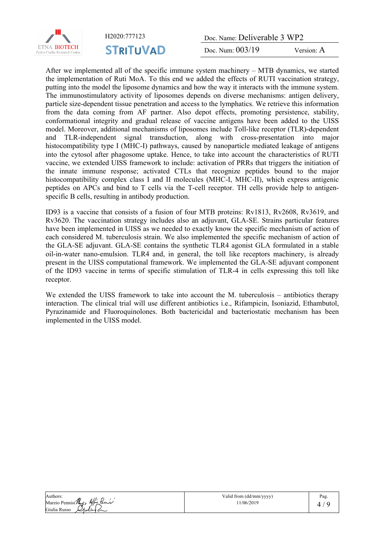

H2020:777123 Doc. Name: Deliverable 3 WP2

Doc. Num: 003/19 Version: A

After we implemented all of the specific immune system machinery – MTB dynamics, we started the implementation of Ruti MoA. To this end we added the effects of RUTI vaccination strategy, putting into the model the liposome dynamics and how the way it interacts with the immune system. The immunostimulatory activity of liposomes depends on diverse mechanisms: antigen delivery, particle size-dependent tissue penetration and access to the lymphatics. We retrieve this information from the data coming from AF partner. Also depot effects, promoting persistence, stability, conformational integrity and gradual release of vaccine antigens have been added to the UISS model. Moreover, additional mechanisms of liposomes include Toll-like receptor (TLR)-dependent and TLR-independent signal transduction, along with cross-presentation into major histocompatibility type I (MHC-I) pathways, caused by nanoparticle mediated leakage of antigens into the cytosol after phagosome uptake. Hence, to take into account the characteristics of RUTI vaccine, we extended UISS framework to include: activation of PRRs that triggers the initiation of the innate immune response; activated CTLs that recognize peptides bound to the major histocompatibility complex class I and II molecules (MHC-I, MHC-II), which express antigenic peptides on APCs and bind to T cells via the T-cell receptor. TH cells provide help to antigenspecific B cells, resulting in antibody production.

ID93 is a vaccine that consists of a fusion of four MTB proteins: Rv1813, Rv2608, Rv3619, and Rv3620. The vaccination strategy includes also an adjuvant, GLA-SE. Strains particular features have been implemented in UISS as we needed to exactly know the specific mechanism of action of each considered M. tuberculosis strain. We also implemented the specific mechanism of action of the GLA-SE adjuvant. GLA-SE contains the synthetic TLR4 agonist GLA formulated in a stable oil-in-water nano-emulsion. TLR4 and, in general, the toll like receptors machinery, is already present in the UISS computational framework. We implemented the GLA-SE adjuvant component of the ID93 vaccine in terms of specific stimulation of TLR-4 in cells expressing this toll like receptor.

We extended the UISS framework to take into account the M. tuberculosis – antibiotics therapy interaction. The clinical trial will use different antibiotics i.e., Rifampicin, Isoniazid, Ethambutol, Pyrazinamide and Fluoroquinolones. Both bactericidal and bacteriostatic mechanism has been implemented in the UISS model.

Authors: Marzio Pennisi Marzio Appo Pann Giulia Russo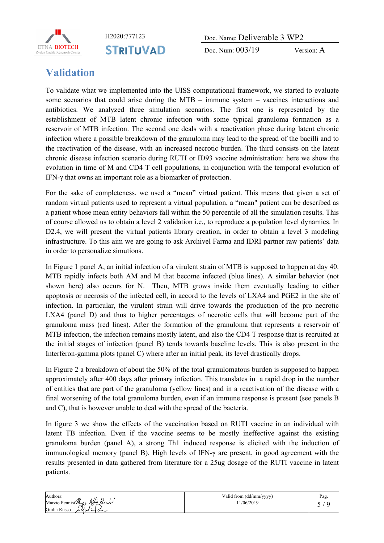

H2020:777123 Doc. Name: Deliverable 3 WP2 Doc. Num:  $003/19$  Version: A

#### **Validation**

To validate what we implemented into the UISS computational framework, we started to evaluate some scenarios that could arise during the MTB – immune system – vaccines interactions and antibiotics. We analyzed three simulation scenarios. The first one is represented by the establishment of MTB latent chronic infection with some typical granuloma formation as a reservoir of MTB infection. The second one deals with a reactivation phase during latent chronic infection where a possible breakdown of the granuloma may lead to the spread of the bacilli and to the reactivation of the disease, with an increased necrotic burden. The third consists on the latent chronic disease infection scenario during RUTI or ID93 vaccine administration: here we show the evolution in time of M and CD4 T cell populations, in conjunction with the temporal evolution of IFN-γ that owns an important role as a biomarker of protection.

For the sake of completeness, we used a "mean" virtual patient. This means that given a set of random virtual patients used to represent a virtual population, a "mean" patient can be described as a patient whose mean entity behaviors fall within the 50 percentile of all the simulation results. This of course allowed us to obtain a level 2 validation i.e., to reproduce a population level dynamics. In D2.4, we will present the virtual patients library creation, in order to obtain a level 3 modeling infrastructure. To this aim we are going to ask Archivel Farma and IDRI partner raw patients' data in order to personalize simutions.

In Figure 1 panel A, an initial infection of a virulent strain of MTB is supposed to happen at day 40. MTB rapidly infects both AM and M that become infected (blue lines). A similar behavior (not shown here) also occurs for N. Then, MTB grows inside them eventually leading to either apoptosis or necrosis of the infected cell, in accord to the levels of LXA4 and PGE2 in the site of infection. In particular, the virulent strain will drive towards the production of the pro necrotic LXA4 (panel D) and thus to higher percentages of necrotic cells that will become part of the granuloma mass (red lines). After the formation of the granuloma that represents a reservoir of MTB infection, the infection remains mostly latent, and also the CD4 T response that is recruited at the initial stages of infection (panel B) tends towards baseline levels. This is also present in the Interferon-gamma plots (panel C) where after an initial peak, its level drastically drops.

In Figure 2 a breakdown of about the 50% of the total granulomatous burden is supposed to happen approximately after 400 days after primary infection. This translates in a rapid drop in the number of entities that are part of the granuloma (yellow lines) and in a reactivation of the disease with a final worsening of the total granuloma burden, even if an immune response is present (see panels B and C), that is however unable to deal with the spread of the bacteria.

In figure 3 we show the effects of the vaccination based on RUTI vaccine in an individual with latent TB infection. Even if the vaccine seems to be mostly ineffective against the existing granuloma burden (panel A), a strong Th1 induced response is elicited with the induction of immunological memory (panel B). High levels of IFN-γ are present, in good agreement with the results presented in data gathered from literature for a 25ug dosage of the RUTI vaccine in latent patients.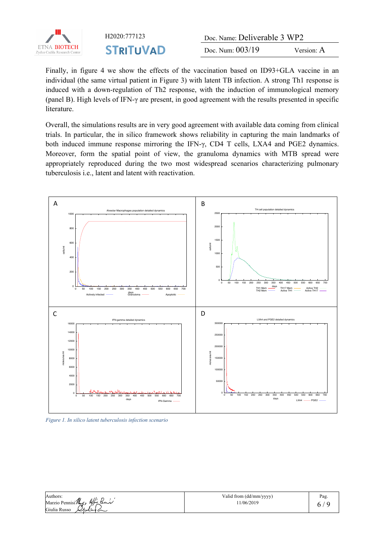

H2020:777123 Doc. Name: Deliverable 3 WP2 Doc. Num:  $003/19$  Version: A

Finally, in figure 4 we show the effects of the vaccination based on ID93+GLA vaccine in an individual (the same virtual patient in Figure 3) with latent TB infection. A strong Th1 response is induced with a down-regulation of Th2 response, with the induction of immunological memory (panel B). High levels of IFN-γ are present, in good agreement with the results presented in specific literature.

Overall, the simulations results are in very good agreement with available data coming from clinical trials. In particular, the in silico framework shows reliability in capturing the main landmarks of both induced immune response mirroring the IFN-γ, CD4 T cells, LXA4 and PGE2 dynamics. Moreover, form the spatial point of view, the granuloma dynamics with MTB spread were appropriately reproduced during the two most widespread scenarios characterizing pulmonary tuberculosis i.e., latent and latent with reactivation.



*Figure 1. In silico latent tuberculosis infection scenario*

| Authors:                             | Valid from (dd/mm/yyyy) | Pag. |
|--------------------------------------|-------------------------|------|
| Marzio Pennisi Marzio Afro Pann      | 1/06/2019               |      |
| Giulia Russo<br>$\omega$ ulut $\sim$ |                         |      |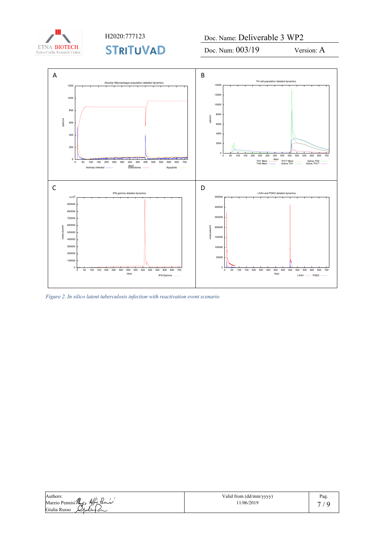

H2020:777123 Doc. Name: Deliverable 3 WP2

Doc. Num:  $003/19$  Version: A



*Figure 2. In silico latent tuberculosis infection with reactivation event scenario*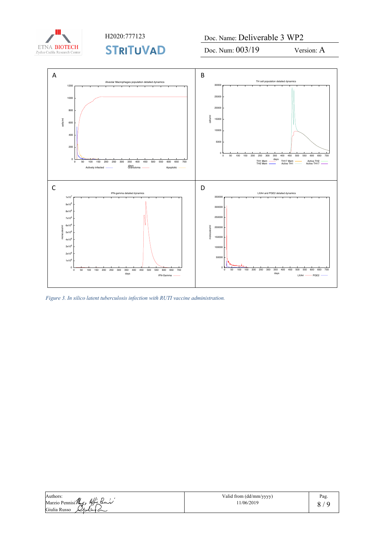

H2020:777123 Doc. Name: Deliverable 3 WP2

Doc. Num:  $003/19$  Version: A



*Figure 3. In silico latent tuberculosis infection with RUTI vaccine administration.*